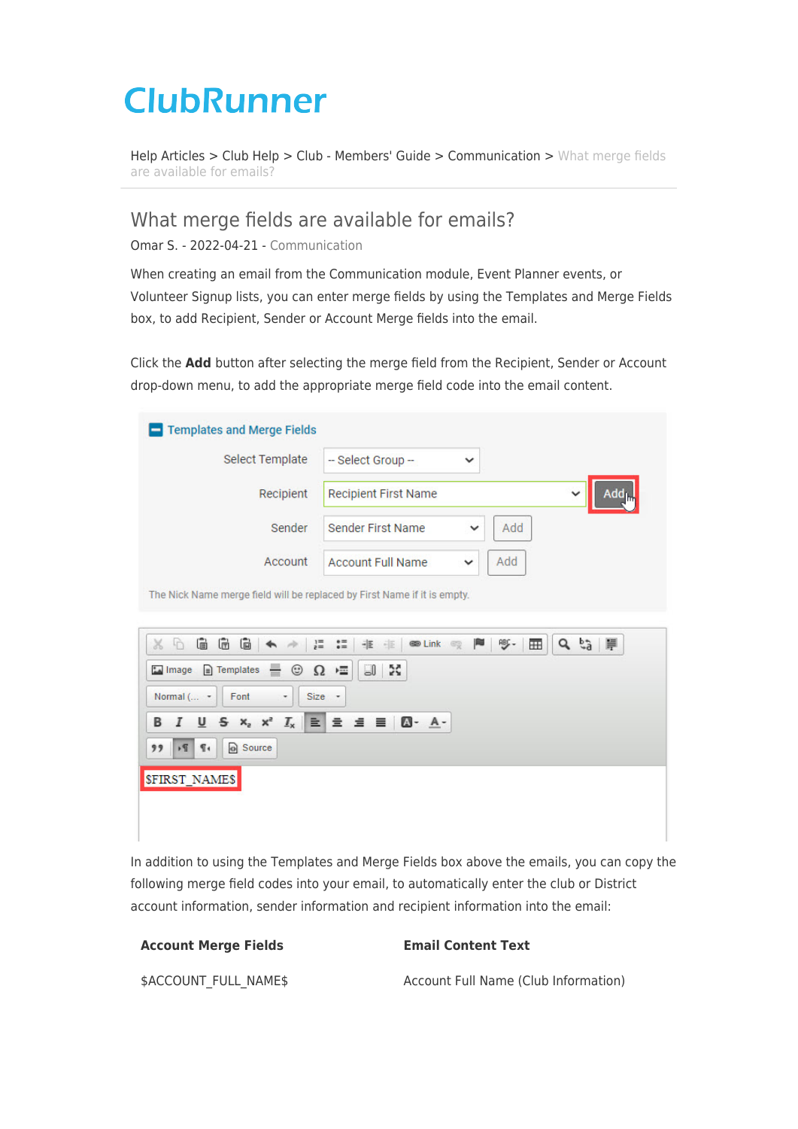## **ClubRunner**

[Help Articles](https://www.clubrunnersupport.com/kb) > [Club Help](https://www.clubrunnersupport.com/kb/club-help) > [Club - Members' Guide](https://www.clubrunnersupport.com/kb/club-members-guide) > [Communication](https://www.clubrunnersupport.com/kb/communication) > [What merge fields](https://www.clubrunnersupport.com/kb/articles/what-merge-fields-are-available-for-emails) [are available for emails?](https://www.clubrunnersupport.com/kb/articles/what-merge-fields-are-available-for-emails)

What merge fields are available for emails?

Omar S. - 2022-04-21 - [Communication](https://www.clubrunnersupport.com/kb/communication)

When creating an email from the Communication module, Event Planner events, or Volunteer Signup lists, you can enter merge fields by using the Templates and Merge Fields box, to add Recipient, Sender or Account Merge fields into the email.

Click the **Add** button after selecting the merge field from the Recipient, Sender or Account drop-down menu, to add the appropriate merge field code into the email content.

| Select Template | -- Select Group --<br>$\checkmark$              |                                   |
|-----------------|-------------------------------------------------|-----------------------------------|
| Recipient       | <b>Recipient First Name</b>                     | Add <sub>lu</sub><br>$\checkmark$ |
| Sender          | Add<br><b>Sender First Name</b><br>$\checkmark$ |                                   |
| Account         | Add<br><b>Account Full Name</b><br>$\checkmark$ |                                   |



In addition to using the Templates and Merge Fields box above the emails, you can copy the following merge field codes into your email, to automatically enter the club or District account information, sender information and recipient information into the email:

| <b>Account Merge Fields</b> | <b>Email Content Text</b>            |
|-----------------------------|--------------------------------------|
| \$ACCOUNT FULL NAME\$       | Account Full Name (Club Information) |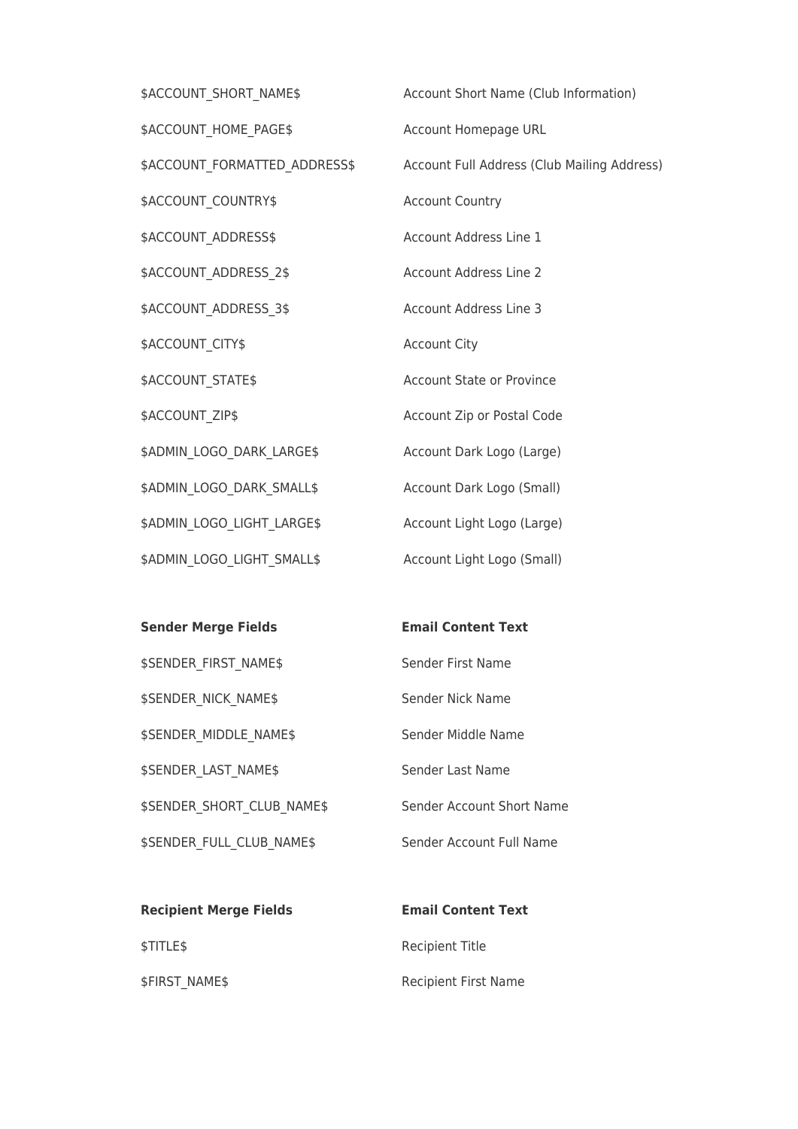| \$ACCOUNT SHORT NAME\$        | Account Short Name (Club Information)       |
|-------------------------------|---------------------------------------------|
| \$ACCOUNT_HOME_PAGE\$         | Account Homepage URL                        |
| \$ACCOUNT FORMATTED ADDRESS\$ | Account Full Address (Club Mailing Address) |
| \$ACCOUNT_COUNTRY\$           | <b>Account Country</b>                      |
| \$ACCOUNT_ADDRESS\$           | Account Address Line 1                      |
| \$ACCOUNT_ADDRESS_2\$         | <b>Account Address Line 2</b>               |
| \$ACCOUNT_ADDRESS_3\$         | Account Address Line 3                      |
| \$ACCOUNT_CITY\$              | <b>Account City</b>                         |
| \$ACCOUNT_STATE\$             | <b>Account State or Province</b>            |
| \$ACCOUNT_ZIP\$               | Account Zip or Postal Code                  |
| \$ADMIN_LOGO_DARK_LARGE\$     | Account Dark Logo (Large)                   |
| \$ADMIN_LOGO_DARK_SMALL\$     | Account Dark Logo (Small)                   |
| \$ADMIN LOGO LIGHT LARGE\$    | Account Light Logo (Large)                  |
| \$ADMIN LOGO LIGHT SMALL\$    | Account Light Logo (Small)                  |

| <b>Sender Merge Fields</b>        | <b>Email Content Text</b> |
|-----------------------------------|---------------------------|
| <b>\$SENDER FIRST NAME\$</b>      | Sender First Name         |
| <b>\$SENDER NICK NAME\$</b>       | Sender Nick Name          |
| <b>\$SENDER MIDDLE NAME\$</b>     | Sender Middle Name        |
| <b>\$SENDER LAST NAME\$</b>       | Sender Last Name          |
| <b>\$SENDER SHORT CLUB NAME\$</b> | Sender Account Short Name |
| <b>\$SENDER FULL CLUB NAME\$</b>  | Sender Account Full Name  |

| <b>Recipient Merge Fields</b> | <b>Email Content Text</b>   |
|-------------------------------|-----------------------------|
| <b>STITLES</b>                | Recipient Title             |
| \$FIRST NAME\$                | <b>Recipient First Name</b> |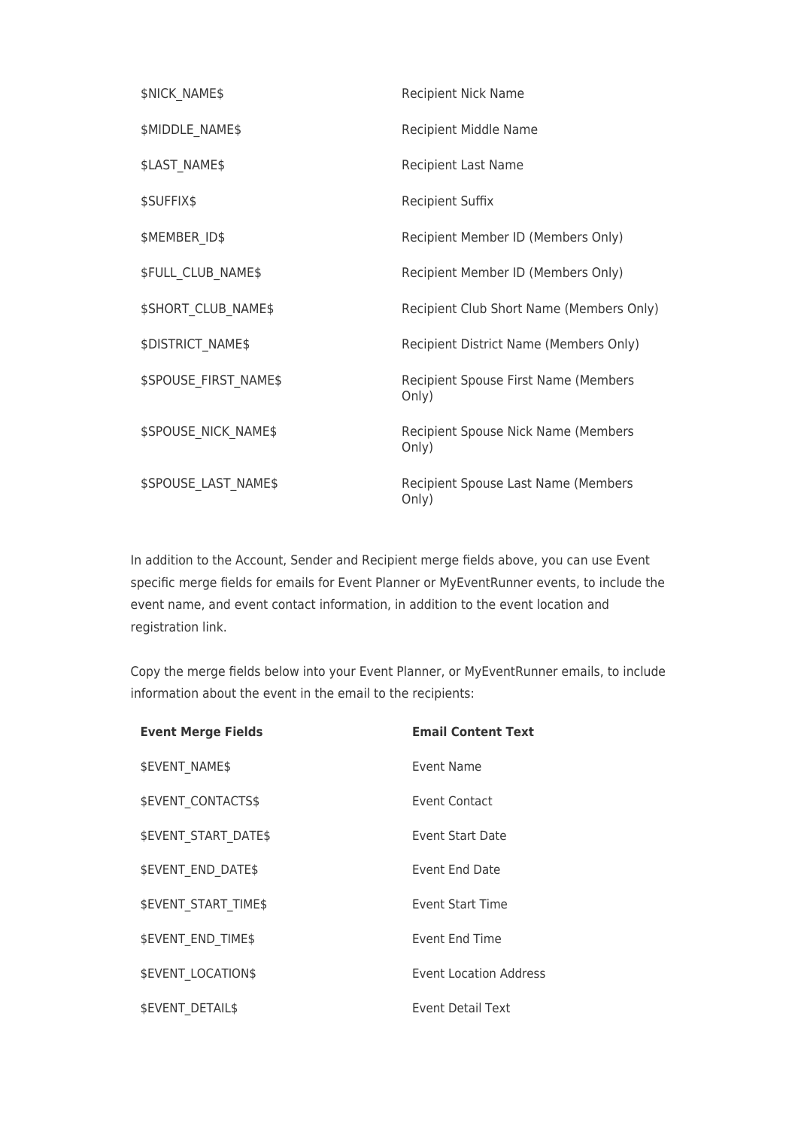| \$NICK_NAME\$                | Recipient Nick Name                           |
|------------------------------|-----------------------------------------------|
| \$MIDDLE NAME\$              | Recipient Middle Name                         |
| \$LAST_NAME\$                | <b>Recipient Last Name</b>                    |
| \$SUFFIX\$                   | <b>Recipient Suffix</b>                       |
| \$MEMBER ID\$                | Recipient Member ID (Members Only)            |
| \$FULL_CLUB_NAME\$           | Recipient Member ID (Members Only)            |
| <b>\$SHORT CLUB NAME\$</b>   | Recipient Club Short Name (Members Only)      |
| <b>\$DISTRICT NAME\$</b>     | Recipient District Name (Members Only)        |
| <b>\$SPOUSE FIRST NAME\$</b> | Recipient Spouse First Name (Members<br>Only) |
| <b>\$SPOUSE NICK NAME\$</b>  | Recipient Spouse Nick Name (Members<br>Only)  |
| <b>\$SPOUSE LAST NAME\$</b>  | Recipient Spouse Last Name (Members<br>Only)  |

In addition to the Account, Sender and Recipient merge fields above, you can use Event specific merge fields for emails for Event Planner or MyEventRunner events, to include the event name, and event contact information, in addition to the event location and registration link.

Copy the merge fields below into your Event Planner, or MyEventRunner emails, to include information about the event in the email to the recipients:

| <b>Event Merge Fields</b>   | <b>Email Content Text</b>     |
|-----------------------------|-------------------------------|
| <b>\$EVENT NAME\$</b>       | Event Name                    |
| <b>\$EVENT CONTACTS\$</b>   | <b>Event Contact</b>          |
| <b>\$EVENT START DATE\$</b> | Event Start Date              |
| <b>\$EVENT END DATE\$</b>   | Event End Date                |
| <b>\$EVENT START TIME\$</b> | Event Start Time              |
| <b>\$EVENT END TIME\$</b>   | <b>Event End Time</b>         |
| <b>\$EVENT LOCATION\$</b>   | <b>Event Location Address</b> |
| <b>SEVENT DETAILS</b>       | <b>Event Detail Text</b>      |